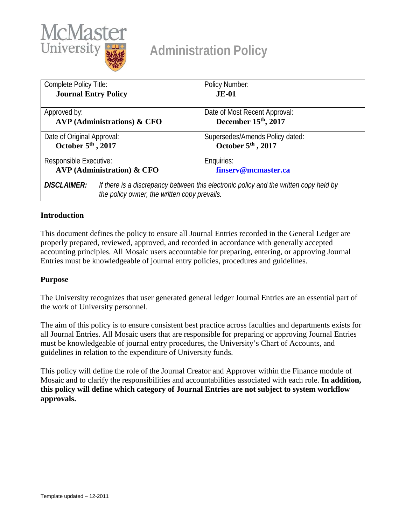

# **Administration Policy**

| Complete Policy Title:            |                                                                                                                                       | Policy Number:                   |
|-----------------------------------|---------------------------------------------------------------------------------------------------------------------------------------|----------------------------------|
| <b>Journal Entry Policy</b>       |                                                                                                                                       | $JE-01$                          |
|                                   |                                                                                                                                       |                                  |
| Approved by:                      |                                                                                                                                       | Date of Most Recent Approval:    |
| $AVP$ (Administrations) & CFO     |                                                                                                                                       | December 15 <sup>th</sup> , 2017 |
| Date of Original Approval:        |                                                                                                                                       | Supersedes/Amends Policy dated:  |
| October 5th, 2017                 |                                                                                                                                       | October 5th, 2017                |
| Responsible Executive:            |                                                                                                                                       | Enquiries:                       |
| <b>AVP</b> (Administration) & CFO |                                                                                                                                       | finserv@mcmaster.ca              |
| <b>DISCLAIMER:</b>                | If there is a discrepancy between this electronic policy and the written copy held by<br>the policy owner, the written copy prevails. |                                  |

## **Introduction**

This document defines the policy to ensure all Journal Entries recorded in the General Ledger are properly prepared, reviewed, approved, and recorded in accordance with generally accepted accounting principles. All Mosaic users accountable for preparing, entering, or approving Journal Entries must be knowledgeable of journal entry policies, procedures and guidelines.

## **Purpose**

The University recognizes that user generated general ledger Journal Entries are an essential part of the work of University personnel.

The aim of this policy is to ensure consistent best practice across faculties and departments exists for all Journal Entries. All Mosaic users that are responsible for preparing or approving Journal Entries must be knowledgeable of journal entry procedures, the University's Chart of Accounts, and guidelines in relation to the expenditure of University funds.

This policy will define the role of the Journal Creator and Approver within the Finance module of Mosaic and to clarify the responsibilities and accountabilities associated with each role. **In addition, this policy will define which category of Journal Entries are not subject to system workflow approvals.**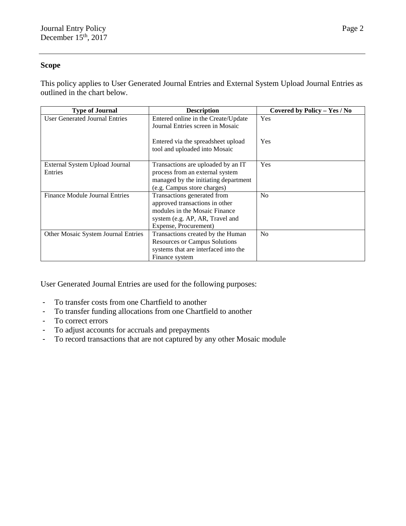#### **Scope**

This policy applies to User Generated Journal Entries and External System Upload Journal Entries as outlined in the chart below.

| <b>Type of Journal</b>                     | <b>Description</b>                   | Covered by Policy - Yes / No |
|--------------------------------------------|--------------------------------------|------------------------------|
| <b>User Generated Journal Entries</b>      | Entered online in the Create/Update  | <b>Yes</b>                   |
|                                            | Journal Entries screen in Mosaic     |                              |
|                                            |                                      |                              |
|                                            | Entered via the spreadsheet upload   | Yes                          |
|                                            | tool and uploaded into Mosaic        |                              |
|                                            |                                      |                              |
| External System Upload Journal             | Transactions are uploaded by an IT   | <b>Yes</b>                   |
| Entries                                    | process from an external system      |                              |
|                                            | managed by the initiating department |                              |
|                                            | (e.g. Campus store charges)          |                              |
| Finance Module Journal Entries             | Transactions generated from          | No                           |
|                                            | approved transactions in other       |                              |
|                                            | modules in the Mosaic Finance        |                              |
|                                            | system (e.g. AP, AR, Travel and      |                              |
|                                            | Expense, Procurement)                |                              |
| <b>Other Mosaic System Journal Entries</b> | Transactions created by the Human    | N <sub>o</sub>               |
|                                            | <b>Resources or Campus Solutions</b> |                              |
|                                            | systems that are interfaced into the |                              |
|                                            | Finance system                       |                              |

User Generated Journal Entries are used for the following purposes:

- To transfer costs from one Chartfield to another
- To transfer funding allocations from one Chartfield to another
- To correct errors
- To adjust accounts for accruals and prepayments
- To record transactions that are not captured by any other Mosaic module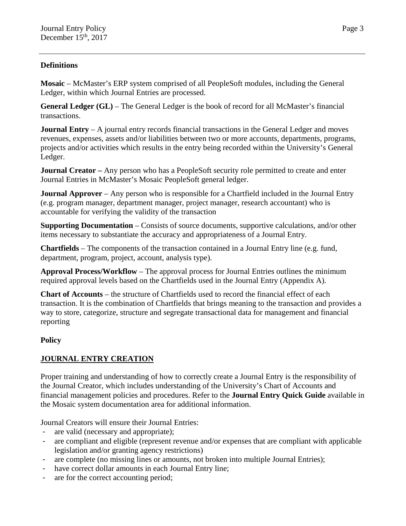## **Definitions**

**Mosaic** – McMaster's ERP system comprised of all PeopleSoft modules, including the General Ledger, within which Journal Entries are processed.

**General Ledger (GL)** – The General Ledger is the book of record for all McMaster's financial transactions.

**Journal Entry** – A journal entry records financial transactions in the General Ledger and moves revenues, expenses, assets and/or liabilities between two or more accounts, departments, programs, projects and/or activities which results in the entry being recorded within the University's General Ledger.

**Journal Creator** – Any person who has a PeopleSoft security role permitted to create and enter Journal Entries in McMaster's Mosaic PeopleSoft general ledger.

**Journal Approver** – Any person who is responsible for a Chartfield included in the Journal Entry (e.g. program manager, department manager, project manager, research accountant) who is accountable for verifying the validity of the transaction

**Supporting Documentation** – Consists of source documents, supportive calculations, and/or other items necessary to substantiate the accuracy and appropriateness of a Journal Entry.

**Chartfields** – The components of the transaction contained in a Journal Entry line (e.g. fund, department, program, project, account, analysis type).

**Approval Process/Workflow** – The approval process for Journal Entries outlines the minimum required approval levels based on the Chartfields used in the Journal Entry (Appendix A).

**Chart of Accounts** – the structure of Chartfields used to record the financial effect of each transaction. It is the combination of Chartfields that brings meaning to the transaction and provides a way to store, categorize, structure and segregate transactional data for management and financial reporting

## **Policy**

# **JOURNAL ENTRY CREATION**

Proper training and understanding of how to correctly create a Journal Entry is the responsibility of the Journal Creator, which includes understanding of the University's Chart of Accounts and financial management policies and procedures. Refer to the **Journal Entry Quick Guide** available in the Mosaic system documentation area for additional information.

Journal Creators will ensure their Journal Entries:

- are valid (necessary and appropriate);
- are compliant and eligible (represent revenue and/or expenses that are compliant with applicable legislation and/or granting agency restrictions)
- are complete (no missing lines or amounts, not broken into multiple Journal Entries);
- have correct dollar amounts in each Journal Entry line;
- are for the correct accounting period;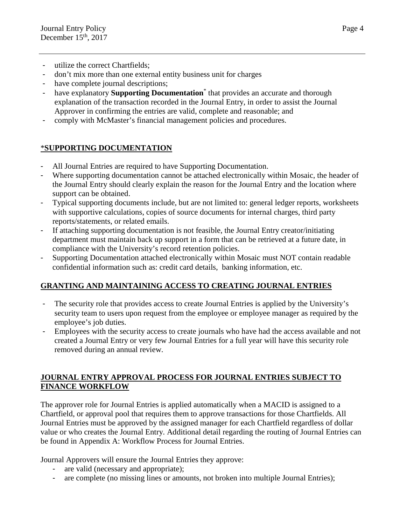- utilize the correct Chartfields;
- don't mix more than one external entity business unit for charges
- have complete journal descriptions;
- have explanatory **Supporting Documentation**\* that provides an accurate and thorough explanation of the transaction recorded in the Journal Entry, in order to assist the Journal Approver in confirming the entries are valid, complete and reasonable; and
- comply with McMaster's financial management policies and procedures.

# \***SUPPORTING DOCUMENTATION**

- All Journal Entries are required to have Supporting Documentation.
- Where supporting documentation cannot be attached electronically within Mosaic, the header of the Journal Entry should clearly explain the reason for the Journal Entry and the location where support can be obtained.
- Typical supporting documents include, but are not limited to: general ledger reports, worksheets with supportive calculations, copies of source documents for internal charges, third party reports/statements, or related emails.
- If attaching supporting documentation is not feasible, the Journal Entry creator/initiating department must maintain back up support in a form that can be retrieved at a future date, in compliance with the University's record retention policies.
- Supporting Documentation attached electronically within Mosaic must NOT contain readable confidential information such as: credit card details, banking information, etc.

# **GRANTING AND MAINTAINING ACCESS TO CREATING JOURNAL ENTRIES**

- The security role that provides access to create Journal Entries is applied by the University's security team to users upon request from the employee or employee manager as required by the employee's job duties.
- Employees with the security access to create journals who have had the access available and not created a Journal Entry or very few Journal Entries for a full year will have this security role removed during an annual review.

## **JOURNAL ENTRY APPROVAL PROCESS FOR JOURNAL ENTRIES SUBJECT TO FINANCE WORKFLOW**

The approver role for Journal Entries is applied automatically when a MACID is assigned to a Chartfield, or approval pool that requires them to approve transactions for those Chartfields. All Journal Entries must be approved by the assigned manager for each Chartfield regardless of dollar value or who creates the Journal Entry. Additional detail regarding the routing of Journal Entries can be found in Appendix A: Workflow Process for Journal Entries.

Journal Approvers will ensure the Journal Entries they approve:

- are valid (necessary and appropriate);
- are complete (no missing lines or amounts, not broken into multiple Journal Entries);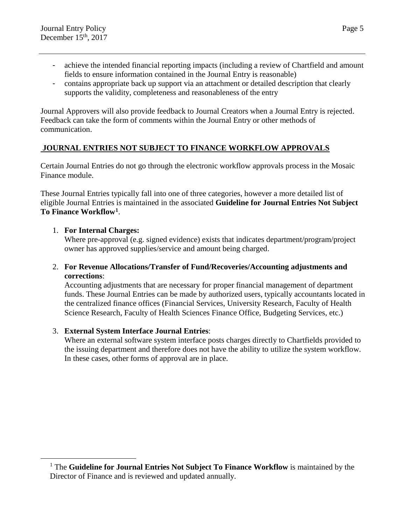- achieve the intended financial reporting impacts (including a review of Chartfield and amount fields to ensure information contained in the Journal Entry is reasonable)
- contains appropriate back up support via an attachment or detailed description that clearly supports the validity, completeness and reasonableness of the entry

Journal Approvers will also provide feedback to Journal Creators when a Journal Entry is rejected. Feedback can take the form of comments within the Journal Entry or other methods of communication.

## **JOURNAL ENTRIES NOT SUBJECT TO FINANCE WORKFLOW APPROVALS**

Certain Journal Entries do not go through the electronic workflow approvals process in the Mosaic Finance module.

These Journal Entries typically fall into one of three categories, however a more detailed list of eligible Journal Entries is maintained in the associated **Guideline for Journal Entries Not Subject To Finance Workflow[1](#page-4-0)**.

### 1. **For Internal Charges:**

Where pre-approval (e.g. signed evidence) exists that indicates department/program/project owner has approved supplies/service and amount being charged.

### 2. **For Revenue Allocations/Transfer of Fund/Recoveries/Accounting adjustments and corrections**:

Accounting adjustments that are necessary for proper financial management of department funds. These Journal Entries can be made by authorized users, typically accountants located in the centralized finance offices (Financial Services, University Research, Faculty of Health Science Research, Faculty of Health Sciences Finance Office, Budgeting Services, etc.)

## 3. **External System Interface Journal Entries**:

Where an external software system interface posts charges directly to Chartfields provided to the issuing department and therefore does not have the ability to utilize the system workflow. In these cases, other forms of approval are in place.

<span id="page-4-0"></span> <sup>1</sup> The **Guideline for Journal Entries Not Subject To Finance Workflow** is maintained by the Director of Finance and is reviewed and updated annually.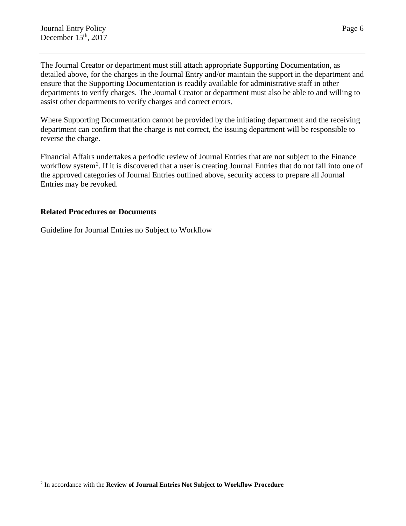The Journal Creator or department must still attach appropriate Supporting Documentation, as detailed above, for the charges in the Journal Entry and/or maintain the support in the department and ensure that the Supporting Documentation is readily available for administrative staff in other departments to verify charges. The Journal Creator or department must also be able to and willing to assist other departments to verify charges and correct errors.

Where Supporting Documentation cannot be provided by the initiating department and the receiving department can confirm that the charge is not correct, the issuing department will be responsible to reverse the charge.

Financial Affairs undertakes a periodic review of Journal Entries that are not subject to the Finance workflow system<sup>[2](#page-5-0)</sup>. If it is discovered that a user is creating Journal Entries that do not fall into one of the approved categories of Journal Entries outlined above, security access to prepare all Journal Entries may be revoked.

### **Related Procedures or Documents**

Guideline for Journal Entries no Subject to Workflow

<span id="page-5-0"></span> <sup>2</sup> In accordance with the **Review of Journal Entries Not Subject to Workflow Procedure**